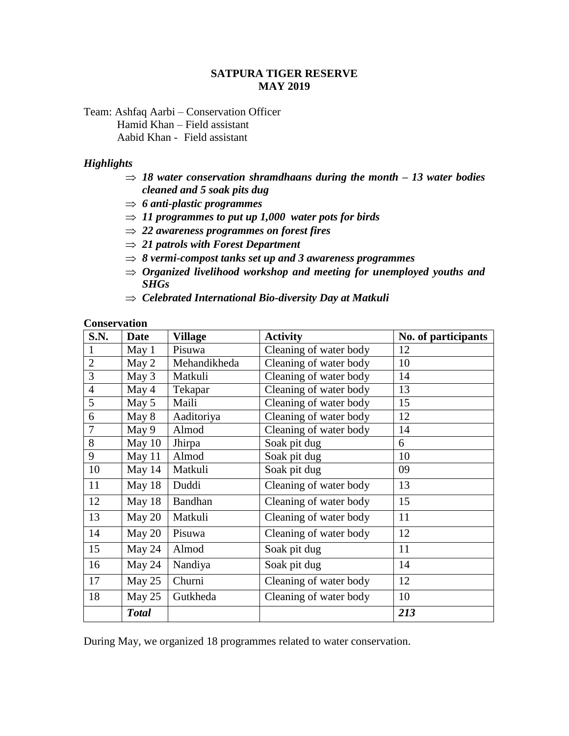### **SATPURA TIGER RESERVE MAY 2019**

Team: Ashfaq Aarbi – Conservation Officer Hamid Khan – Field assistant Aabid Khan - Field assistant

#### *Highlights*

- $\Rightarrow$  18 water conservation shramdhaans during the month 13 water bodies *cleaned and 5 soak pits dug*
- *6 anti-plastic programmes*
- $\Rightarrow$  11 programmes to put up 1,000 water pots for birds
- *22 awareness programmes on forest fires*
- *21 patrols with Forest Department*
- $\Rightarrow$  8 vermi-compost tanks set up and 3 awareness programmes
- *Organized livelihood workshop and meeting for unemployed youths and SHGs*
- *Celebrated International Bio-diversity Day at Matkuli*

### **Conservation**

| S.N.           | <b>Date</b>  | <b>Village</b> | <b>Activity</b>        | No. of participants |
|----------------|--------------|----------------|------------------------|---------------------|
|                | May 1        | Pisuwa         | Cleaning of water body | 12                  |
| $\overline{2}$ | May 2        | Mehandikheda   | Cleaning of water body | 10                  |
| 3              | May 3        | Matkuli        | Cleaning of water body | 14                  |
| $\overline{4}$ | May 4        | Tekapar        | Cleaning of water body | 13                  |
| 5              | May 5        | Maili          | Cleaning of water body | 15                  |
| 6              | May 8        | Aaditoriya     | Cleaning of water body | 12                  |
| 7              | May 9        | Almod          | Cleaning of water body | 14                  |
| 8              | May 10       | Jhirpa         | Soak pit dug           | 6                   |
| 9              | May $11$     | Almod          | Soak pit dug           | 10                  |
| 10             | May 14       | Matkuli        | Soak pit dug           | 09                  |
| 11             | May 18       | Duddi          | Cleaning of water body | 13                  |
| 12             | May 18       | Bandhan        | Cleaning of water body | 15                  |
| 13             | May 20       | Matkuli        | Cleaning of water body | 11                  |
| 14             | May 20       | Pisuwa         | Cleaning of water body | 12                  |
| 15             | May 24       | Almod          | Soak pit dug           | 11                  |
| 16             | May 24       | Nandiya        | Soak pit dug           | 14                  |
| 17             | May 25       | Churni         | Cleaning of water body | 12                  |
| 18             | May 25       | Gutkheda       | Cleaning of water body | 10                  |
|                | <b>Total</b> |                |                        | 213                 |

During May, we organized 18 programmes related to water conservation.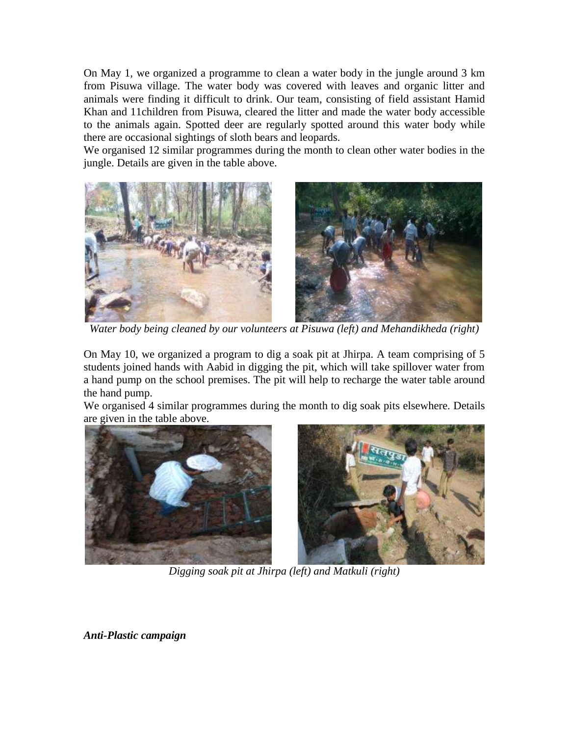On May 1, we organized a programme to clean a water body in the jungle around 3 km from Pisuwa village. The water body was covered with leaves and organic litter and animals were finding it difficult to drink. Our team, consisting of field assistant Hamid Khan and 11children from Pisuwa, cleared the litter and made the water body accessible to the animals again. Spotted deer are regularly spotted around this water body while there are occasional sightings of sloth bears and leopards.

We organised 12 similar programmes during the month to clean other water bodies in the jungle. Details are given in the table above.



*Water body being cleaned by our volunteers at Pisuwa (left) and Mehandikheda (right)*

On May 10, we organized a program to dig a soak pit at Jhirpa. A team comprising of 5 students joined hands with Aabid in digging the pit, which will take spillover water from a hand pump on the school premises. The pit will help to recharge the water table around the hand pump.

We organised 4 similar programmes during the month to dig soak pits elsewhere. Details are given in the table above.





*Digging soak pit at Jhirpa (left) and Matkuli (right)*

*Anti-Plastic campaign*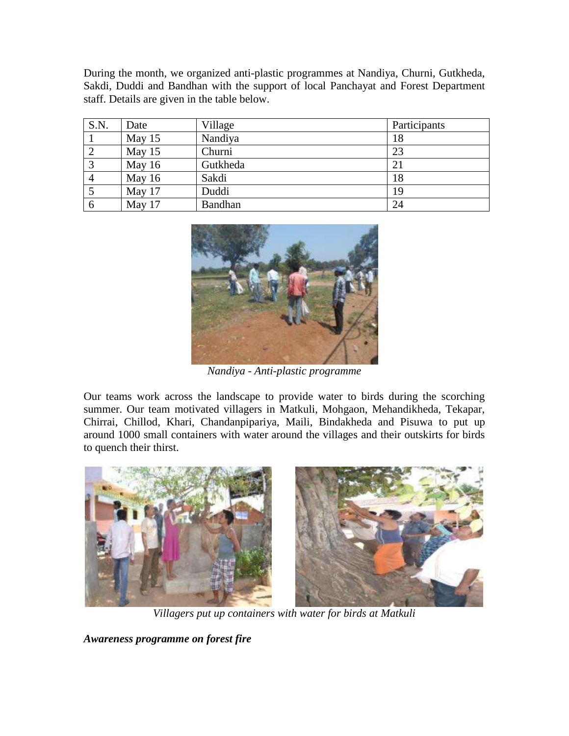During the month, we organized anti-plastic programmes at Nandiya, Churni, Gutkheda, Sakdi, Duddi and Bandhan with the support of local Panchayat and Forest Department staff. Details are given in the table below.

| S.N.           | Date   | Village        | Participants |
|----------------|--------|----------------|--------------|
|                | May 15 | Nandiya        | 18           |
| 2              | May 15 | Churni         | 23           |
| $\overline{3}$ | May 16 | Gutkheda       | 21           |
| $\overline{4}$ | May 16 | Sakdi          | 18           |
|                | May 17 | Duddi          | 19           |
| 6              | May 17 | <b>Bandhan</b> | 24           |



*Nandiya - Anti-plastic programme* 

Our teams work across the landscape to provide water to birds during the scorching summer. Our team motivated villagers in Matkuli, Mohgaon, Mehandikheda, Tekapar, Chirrai, Chillod, Khari, Chandanpipariya, Maili, Bindakheda and Pisuwa to put up around 1000 small containers with water around the villages and their outskirts for birds to quench their thirst.



*Villagers put up containers with water for birds at Matkuli*

*Awareness programme on forest fire*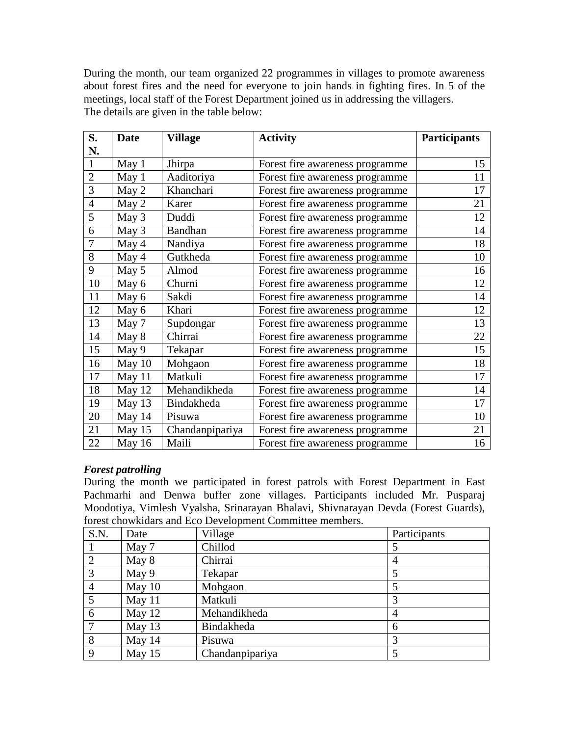During the month, our team organized 22 programmes in villages to promote awareness about forest fires and the need for everyone to join hands in fighting fires. In 5 of the meetings, local staff of the Forest Department joined us in addressing the villagers. The details are given in the table below:

| S.             | <b>Date</b> | <b>Village</b>  | <b>Activity</b>                 | <b>Participants</b> |
|----------------|-------------|-----------------|---------------------------------|---------------------|
| N.             |             |                 |                                 |                     |
| $\mathbf{1}$   | May 1       | Jhirpa          | Forest fire awareness programme | 15                  |
| $\overline{2}$ | May 1       | Aaditoriya      | Forest fire awareness programme | 11                  |
| 3              | May 2       | Khanchari       | Forest fire awareness programme | 17                  |
| $\overline{4}$ | May 2       | Karer           | Forest fire awareness programme | 21                  |
| 5              | May 3       | Duddi           | Forest fire awareness programme | 12                  |
| 6              | May 3       | Bandhan         | Forest fire awareness programme | 14                  |
| 7              | May 4       | Nandiya         | Forest fire awareness programme | 18                  |
| 8              | May 4       | Gutkheda        | Forest fire awareness programme | 10                  |
| 9              | May 5       | Almod           | Forest fire awareness programme | 16                  |
| 10             | May 6       | Churni          | Forest fire awareness programme | 12                  |
| 11             | May 6       | Sakdi           | Forest fire awareness programme | 14                  |
| 12             | May 6       | Khari           | Forest fire awareness programme | 12                  |
| 13             | May 7       | Supdongar       | Forest fire awareness programme | 13                  |
| 14             | May 8       | Chirrai         | Forest fire awareness programme | 22                  |
| 15             | May 9       | Tekapar         | Forest fire awareness programme | 15                  |
| 16             | May $10$    | Mohgaon         | Forest fire awareness programme | 18                  |
| 17             | May 11      | Matkuli         | Forest fire awareness programme | 17                  |
| 18             | May 12      | Mehandikheda    | Forest fire awareness programme | 14                  |
| 19             | May 13      | Bindakheda      | Forest fire awareness programme | 17                  |
| 20             | May 14      | Pisuwa          | Forest fire awareness programme | 10                  |
| 21             | May 15      | Chandanpipariya | Forest fire awareness programme | 21                  |
| 22             | May 16      | Maili           | Forest fire awareness programme | 16                  |

# *Forest patrolling*

During the month we participated in forest patrols with Forest Department in East Pachmarhi and Denwa buffer zone villages. Participants included Mr. Pusparaj Moodotiya, Vimlesh Vyalsha, Srinarayan Bhalavi, Shivnarayan Devda (Forest Guards), forest chowkidars and Eco Development Committee members.

| S.N.           | Date     | Village         | Participants |
|----------------|----------|-----------------|--------------|
|                | May 7    | Chillod         |              |
| 2              | May 8    | Chirrai         | 4            |
| 3              | May 9    | Tekapar         |              |
| $\overline{4}$ | May $10$ | Mohgaon         |              |
| 5              | May 11   | Matkuli         |              |
| 6              | May 12   | Mehandikheda    | 4            |
|                | May 13   | Bindakheda      | 6            |
| 8              | May 14   | Pisuwa          |              |
| 9              | May 15   | Chandanpipariya |              |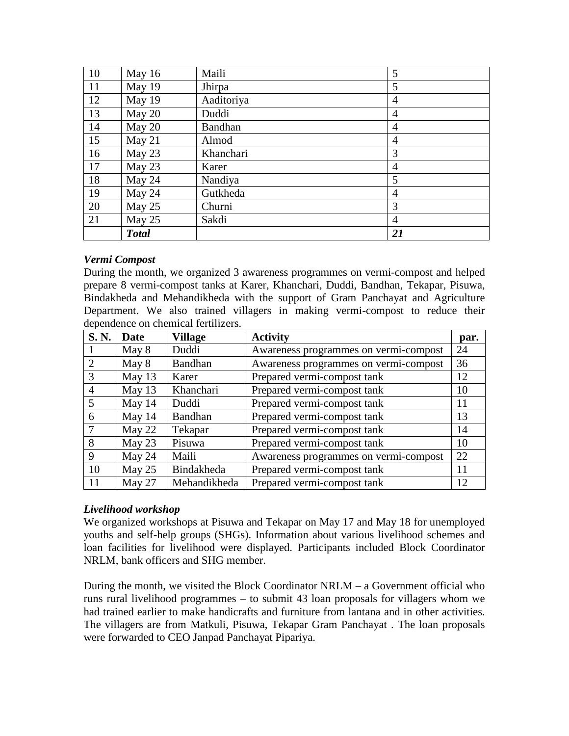| 10            | May 16       | Maili          | 5              |
|---------------|--------------|----------------|----------------|
| <sup>11</sup> | May 19       | Jhirpa         | 5              |
| 12            | May 19       | Aaditoriya     | $\overline{4}$ |
| 13            | May 20       | Duddi          | $\overline{4}$ |
| 14            | May 20       | <b>Bandhan</b> | $\overline{4}$ |
| 15            | May 21       | Almod          | $\overline{4}$ |
| 16            | May 23       | Khanchari      | 3              |
| 17            | May 23       | Karer          | 4              |
| 18            | May 24       | Nandiya        | 5              |
| 19            | May 24       | Gutkheda       | $\overline{4}$ |
| 20            | May 25       | Churni         | 3              |
| 21            | May 25       | Sakdi          | $\overline{4}$ |
|               | <b>Total</b> |                | 21             |

### *Vermi Compost*

During the month, we organized 3 awareness programmes on vermi-compost and helped prepare 8 vermi-compost tanks at Karer, Khanchari, Duddi, Bandhan, Tekapar, Pisuwa, Bindakheda and Mehandikheda with the support of Gram Panchayat and Agriculture Department. We also trained villagers in making vermi-compost to reduce their dependence on chemical fertilizers.

| <b>S. N.</b>                | Date     | <b>Village</b> | <b>Activity</b>                       | par. |
|-----------------------------|----------|----------------|---------------------------------------|------|
|                             | May 8    | Duddi          | Awareness programmes on vermi-compost | 24   |
| $\mathcal{D}_{\mathcal{L}}$ | May 8    | Bandhan        | Awareness programmes on vermi-compost | 36   |
| 3                           | May $13$ | Karer          | Prepared vermi-compost tank           | 12   |
| 4                           | May $13$ | Khanchari      | Prepared vermi-compost tank           | 10   |
| 5                           | May $14$ | Duddi          | Prepared vermi-compost tank           | 11   |
| 6                           | May $14$ | Bandhan        | Prepared vermi-compost tank           | 13   |
|                             | May 22   | Tekapar        | Prepared vermi-compost tank           | 14   |
| 8                           | May $23$ | Pisuwa         | Prepared vermi-compost tank           | 10   |
| 9                           | May 24   | Maili          | Awareness programmes on vermi-compost | 22   |
| 10                          | May $25$ | Bindakheda     | Prepared vermi-compost tank           | 11   |
| 11                          | May 27   | Mehandikheda   | Prepared vermi-compost tank           | 12   |

### *Livelihood workshop*

We organized workshops at Pisuwa and Tekapar on May 17 and May 18 for unemployed youths and self-help groups (SHGs). Information about various livelihood schemes and loan facilities for livelihood were displayed. Participants included Block Coordinator NRLM, bank officers and SHG member.

During the month, we visited the Block Coordinator  $NRLM - a$  Government official who runs rural livelihood programmes – to submit 43 loan proposals for villagers whom we had trained earlier to make handicrafts and furniture from lantana and in other activities. The villagers are from Matkuli, Pisuwa, Tekapar Gram Panchayat . The loan proposals were forwarded to CEO Janpad Panchayat Pipariya.